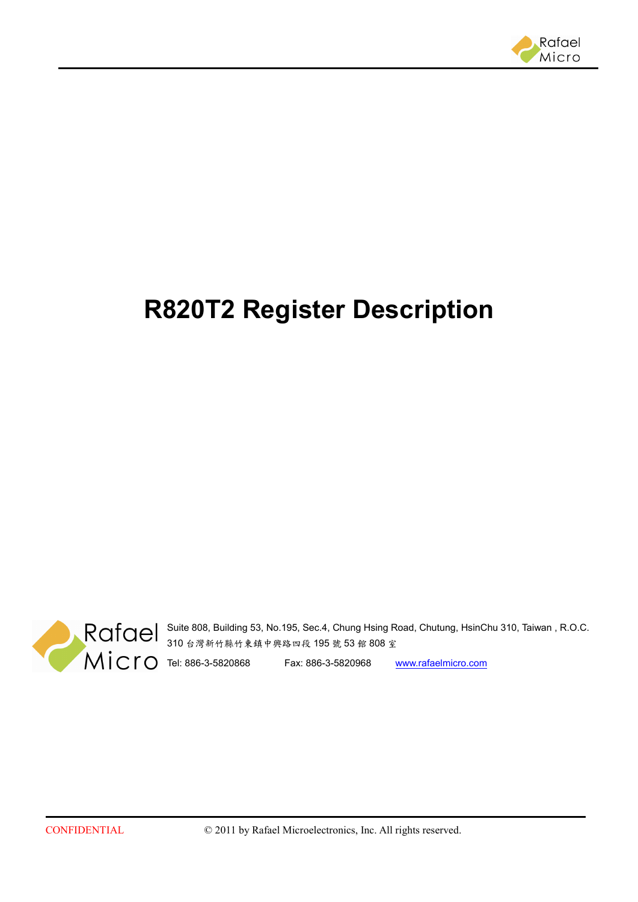

# **R820T2 Register Description**



Suite 808, Building 53, No.195, Sec.4, Chung Hsing Road, Chutung, HsinChu 310, Taiwan , R.O.C. 310 台灣新竹縣竹東鎮中興路四段 195 號 53 館 808 室

Tel: 886-3-5820868 Fax: 886-3-5820968 www.rafaelmicro.com

CONFIDENTIAL © 2011 by Rafael Microelectronics, Inc. All rights reserved.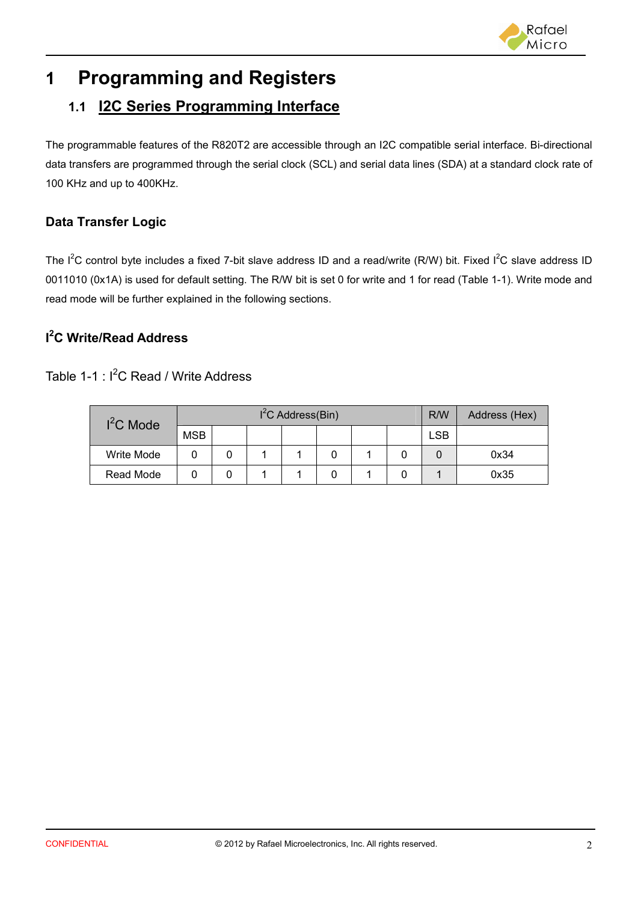

# **1 Programming and Registers**

### **1.1 I2C Series Programming Interface**

The programmable features of the R820T2 are accessible through an I2C compatible serial interface. Bi-directional data transfers are programmed through the serial clock (SCL) and serial data lines (SDA) at a standard clock rate of 100 KHz and up to 400KHz.

#### **Data Transfer Logic**

The I<sup>2</sup>C control byte includes a fixed 7-bit slave address ID and a read/write (R/W) bit. Fixed I<sup>2</sup>C slave address ID 0011010 (0x1A) is used for default setting. The R/W bit is set 0 for write and 1 for read (Table 1-1). Write mode and read mode will be further explained in the following sections.

#### **I <sup>2</sup>C Write/Read Address**

#### Table 1-1  $\cdot$  I<sup>2</sup>C Read / Write Address

| $l^2C$ Mode | $I2C$ Address(Bin) |  |  |  |  |  |  |     | Address (Hex) |
|-------------|--------------------|--|--|--|--|--|--|-----|---------------|
|             | <b>MSB</b>         |  |  |  |  |  |  | LSB |               |
| Write Mode  |                    |  |  |  |  |  |  |     | 0x34          |
| Read Mode   |                    |  |  |  |  |  |  |     | 0x35          |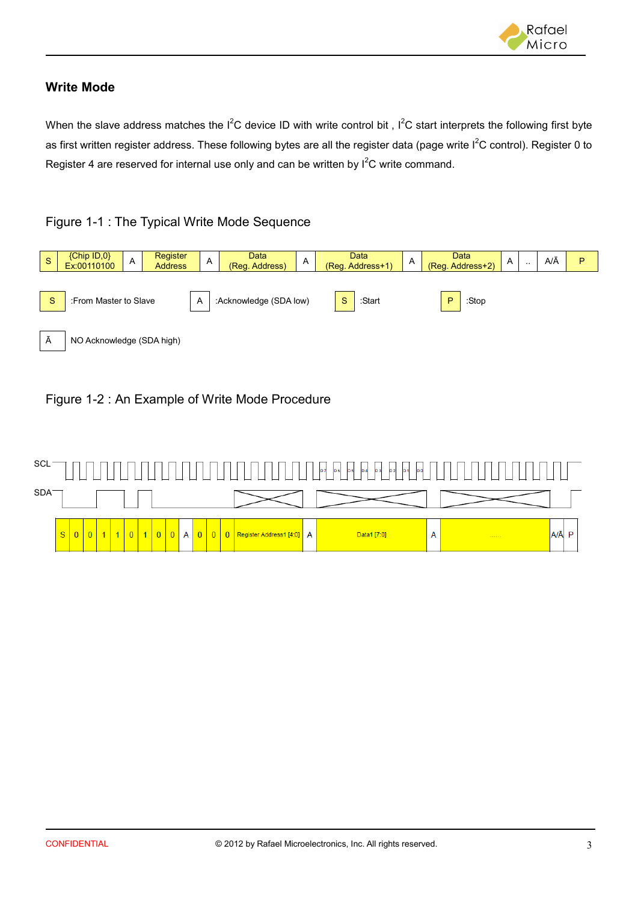

#### **Write Mode**

When the slave address matches the  $I^2C$  device ID with write control bit,  $I^2C$  start interprets the following first byte as first written register address. These following bytes are all the register data (page write  $I^2C$  control). Register 0 to Register 4 are reserved for internal use only and can be written by  $I^2C$  write command.

#### Figure 1-1 : The Typical Write Mode Sequence



#### Figure 1-2 : An Example of Write Mode Procedure

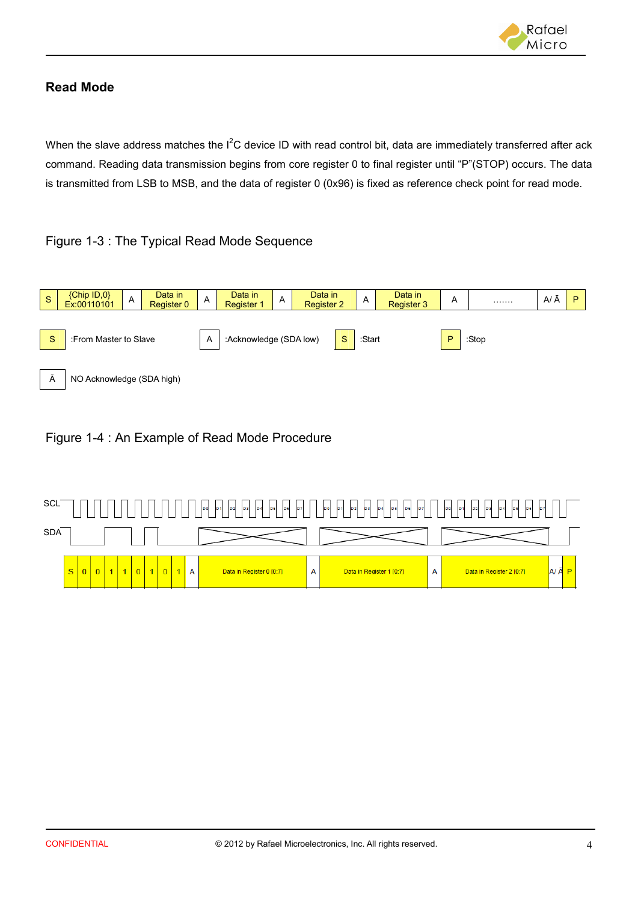

#### **Read Mode**

When the slave address matches the I<sup>2</sup>C device ID with read control bit, data are immediately transferred after ack command. Reading data transmission begins from core register 0 to final register until "P"(STOP) occurs. The data is transmitted from LSB to MSB, and the data of register 0 (0x96) is fixed as reference check point for read mode.

#### Figure 1-3 : The Typical Read Mode Sequence



#### Figure 1-4 : An Example of Read Mode Procedure

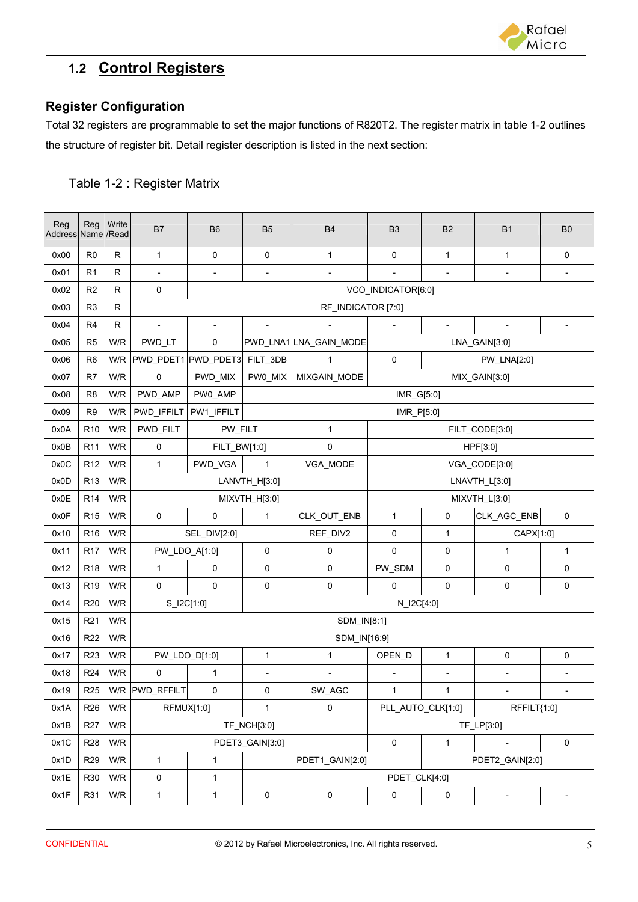

### **1.2 Control Registers**

#### **Register Configuration**

Total 32 registers are programmable to set the major functions of R820T2. The register matrix in table 1-2 outlines the structure of register bit. Detail register description is listed in the next section:

#### Table 1-2 : Register Matrix

| Reg<br>Address Name / Read | Reg             | Write        | <b>B7</b>                      | <b>B6</b>                | <b>B5</b>                | <b>B4</b>                | B <sub>3</sub>                 | <b>B2</b>                    | <b>B1</b>                | B <sub>0</sub>           |  |
|----------------------------|-----------------|--------------|--------------------------------|--------------------------|--------------------------|--------------------------|--------------------------------|------------------------------|--------------------------|--------------------------|--|
| 0x00                       | R <sub>0</sub>  | $\mathsf R$  | $\mathbf{1}$                   | $\pmb{0}$                | 0                        | $\mathbf{1}$             | $\pmb{0}$                      | $\mathbf{1}$                 | $\mathbf{1}$             | 0                        |  |
| 0x01                       | R <sub>1</sub>  | R            | $\overline{\phantom{a}}$       | $\overline{a}$           | $\overline{\phantom{a}}$ | $\overline{\phantom{a}}$ |                                | $\frac{1}{2}$                | $\overline{\phantom{a}}$ |                          |  |
| 0x02                       | R <sub>2</sub>  | $\mathsf R$  | 0                              |                          |                          |                          | VCO_INDICATOR[6:0]             |                              |                          |                          |  |
| 0x03                       | R <sub>3</sub>  | $\mathsf{R}$ | RF_INDICATOR [7:0]             |                          |                          |                          |                                |                              |                          |                          |  |
| 0x04                       | R <sub>4</sub>  | R            | $\blacksquare$                 | $\overline{\phantom{a}}$ | $\overline{\phantom{a}}$ |                          |                                | $\qquad \qquad \blacksquare$ | $\blacksquare$           | $\overline{\phantom{a}}$ |  |
| 0x05                       | R <sub>5</sub>  | W/R          | PWD_LT                         | 0                        |                          | PWD_LNA1 LNA_GAIN_MODE   |                                |                              | LNA_GAIN[3:0]            |                          |  |
| 0x06                       | R <sub>6</sub>  | W/R          | PWD_PDET1 PWD_PDET3            |                          | FILT_3DB                 | 1                        | 0<br>PW_LNA[2:0]               |                              |                          |                          |  |
| 0x07                       | R7              | W/R          | $\mathbf 0$                    | PWD_MIX                  | PW0_MIX                  | MIXGAIN_MODE             | MIX_GAIN[3:0]                  |                              |                          |                          |  |
| 0x08                       | R <sub>8</sub>  | W/R          | PWD_AMP                        | PW0_AMP                  |                          |                          | IMR_G[5:0]                     |                              |                          |                          |  |
| 0x09                       | R <sub>9</sub>  | W/R          | PWD_IFFILT                     | PW1_IFFILT               |                          |                          | IMR_P[5:0]                     |                              |                          |                          |  |
| 0x0A                       | R <sub>10</sub> | W/R          | PWD_FILT                       | PW_FILT                  |                          | $\mathbf{1}$             |                                |                              | FILT_CODE[3:0]           |                          |  |
| 0x0B                       | R <sub>11</sub> | W/R          | $\pmb{0}$                      | FILT_BW[1:0]             |                          | 0                        | HPF[3:0]                       |                              |                          |                          |  |
| 0x0C                       | R <sub>12</sub> | W/R          | $\mathbf{1}$                   | PWD_VGA                  | 1                        | VGA_MODE                 | VGA_CODE[3:0]                  |                              |                          |                          |  |
| 0x0D                       | R <sub>13</sub> | W/R          | LANVTH_H[3:0]<br>LNAVTH_L[3:0] |                          |                          |                          |                                |                              |                          |                          |  |
| 0x0E                       | R <sub>14</sub> | W/R          |                                |                          | MIXVTH_H[3:0]            |                          | MIXVTH_L[3:0]                  |                              |                          |                          |  |
| 0x0F                       | R <sub>15</sub> | W/R          | 0                              | 0                        | 1                        | CLK_OUT_ENB              | 1                              | 0                            | CLK_AGC_ENB              | 0                        |  |
| 0x10                       | R <sub>16</sub> | W/R          |                                | SEL_DIV[2:0]             |                          | REF_DIV2                 | 0<br>$\mathbf{1}$<br>CAPX[1:0] |                              |                          |                          |  |
| 0x11                       | R <sub>17</sub> | W/R          | PW_LDO_A[1:0]                  |                          | 0                        | 0                        | $\mathbf 0$                    | $\pmb{0}$                    | 1                        | 1                        |  |
| 0x12                       | R <sub>18</sub> | W/R          | $\mathbf{1}$                   | $\mathbf 0$              | 0                        | 0                        | PW_SDM                         | $\pmb{0}$                    | 0                        | 0                        |  |
| 0x13                       | R <sub>19</sub> | W/R          | $\mathbf 0$                    | $\mathbf 0$              | 0                        | 0                        | $\mathbf 0$                    | $\pmb{0}$                    | 0                        | 0                        |  |
| 0x14                       | R <sub>20</sub> | W/R          | S_I2C[1:0]                     |                          |                          |                          | N_I2C[4:0]                     |                              |                          |                          |  |
| 0x15                       | R <sub>21</sub> | W/R          |                                |                          |                          | SDM_IN[8:1]              |                                |                              |                          |                          |  |
| 0x16                       | R <sub>22</sub> | W/R          |                                |                          |                          | SDM_IN[16:9]             |                                |                              |                          |                          |  |
| 0x17                       | R <sub>23</sub> | W/R          | PW_LDO_D[1:0]                  |                          | $\mathbf{1}$             | 1                        | OPEN_D                         | $\mathbf{1}$                 | $\mathsf 0$              | 0                        |  |
| 0x18                       | R <sub>24</sub> | W/R          | 0                              | 1                        | $\overline{a}$           |                          |                                | $\qquad \qquad \blacksquare$ | $\overline{a}$           | $\blacksquare$           |  |
| 0x19                       | R <sub>25</sub> |              | W/R PWD_RFFILT                 | 0                        | 0                        | SW_AGC                   | 1                              | 1.                           |                          |                          |  |
| 0x1A                       | R <sub>26</sub> | W/R          | RFMUX[1:0]                     |                          | $\mathbf{1}$             | 0                        | PLL AUTO CLK[1:0]              |                              | RFFILT{1:0]              |                          |  |
| 0x1B                       | R <sub>27</sub> | W/R          |                                |                          | TF_NCH[3:0]              |                          |                                |                              | TF_LP[3:0]               |                          |  |
| 0x1C                       | R <sub>28</sub> | W/R          |                                |                          | PDET3_GAIN[3:0]          |                          | $\mathsf{O}\xspace$            | $\mathbf{1}$                 |                          | 0                        |  |
| 0x1D                       | R <sub>29</sub> | W/R          | $\mathbf{1}$                   | 1                        |                          | PDET1_GAIN[2:0]          |                                |                              | PDET2_GAIN[2:0]          |                          |  |
| 0x1E                       | R30             | W/R          | 0                              | $\mathbf{1}$             | PDET_CLK[4:0]            |                          |                                |                              |                          |                          |  |
| 0x1F                       | R31             | W/R          | $\mathbf{1}$                   | $\mathbf{1}$             | 0                        | $\pmb{0}$                | 0                              | $\pmb{0}$                    | $\overline{\phantom{a}}$ |                          |  |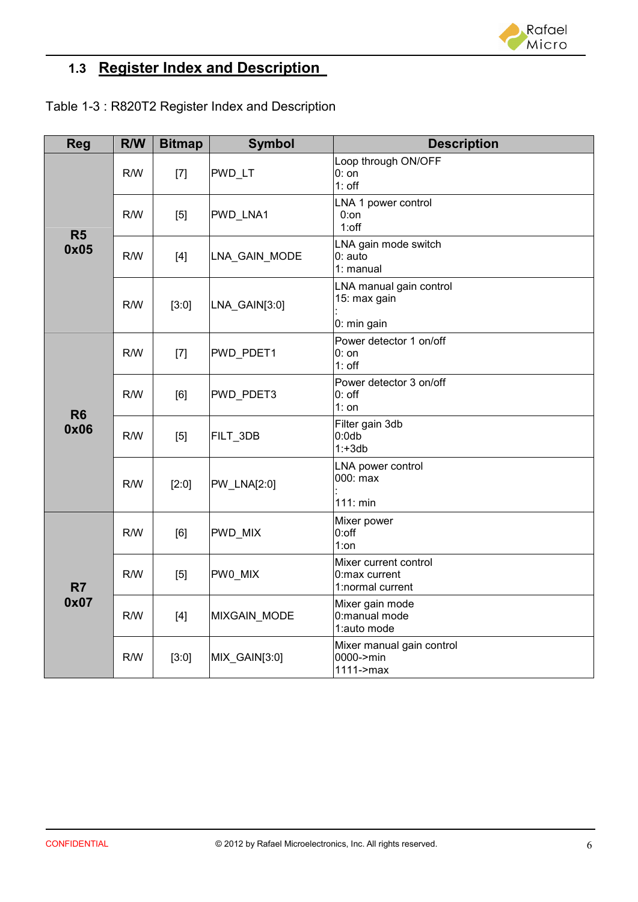

## **1.3 Register Index and Description**

| Table 1-3: R820T2 Register Index and Description |
|--------------------------------------------------|
|--------------------------------------------------|

| <b>Reg</b>     | R/W | <b>Bitmap</b>      | <b>Symbol</b> | <b>Description</b>                                         |
|----------------|-----|--------------------|---------------|------------------------------------------------------------|
|                | R/W | $[7]$              | PWD_LT        | Loop through ON/OFF<br>$0:$ on<br>$1:$ off                 |
| R <sub>5</sub> | R/W | [5]                | PWD_LNA1      | LNA 1 power control<br>$0:$ on<br>$1:$ off                 |
| 0x05           | R/W | $[4]$              | LNA_GAIN_MODE | LNA gain mode switch<br>0: auto<br>1: manual               |
|                | R/W | [3:0]              | LNA_GAIN[3:0] | LNA manual gain control<br>15: max gain                    |
|                |     |                    |               | 0: min gain                                                |
|                | R/W | $[7]$<br>PWD_PDET1 |               | Power detector 1 on/off<br>$0:$ on<br>$1:$ off             |
| R <sub>6</sub> | R/W | [6]                | PWD_PDET3     | Power detector 3 on/off<br>$0:$ off<br>$1:$ on             |
| 0x06           | R/W | [5]                | FILT_3DB      | Filter gain 3db<br>$0:0$ db<br>$1: +3db$                   |
|                | R/W | [2:0]              | PW_LNA[2:0]   | LNA power control<br>000: max<br>111: min                  |
|                | R/W | [6]                | PWD_MIX       | Mixer power<br>$0:$ off<br>1:on                            |
| R7             | R/W | [5]                | PW0_MIX       | Mixer current control<br>0:max current<br>1:normal current |
| 0x07           | R/W | $[4]$              | MIXGAIN_MODE  | Mixer gain mode<br>0:manual mode<br>1:auto mode            |
|                | R/W | [3:0]              | MIX_GAIN[3:0] | Mixer manual gain control<br>0000->min<br>$1111$ ->max     |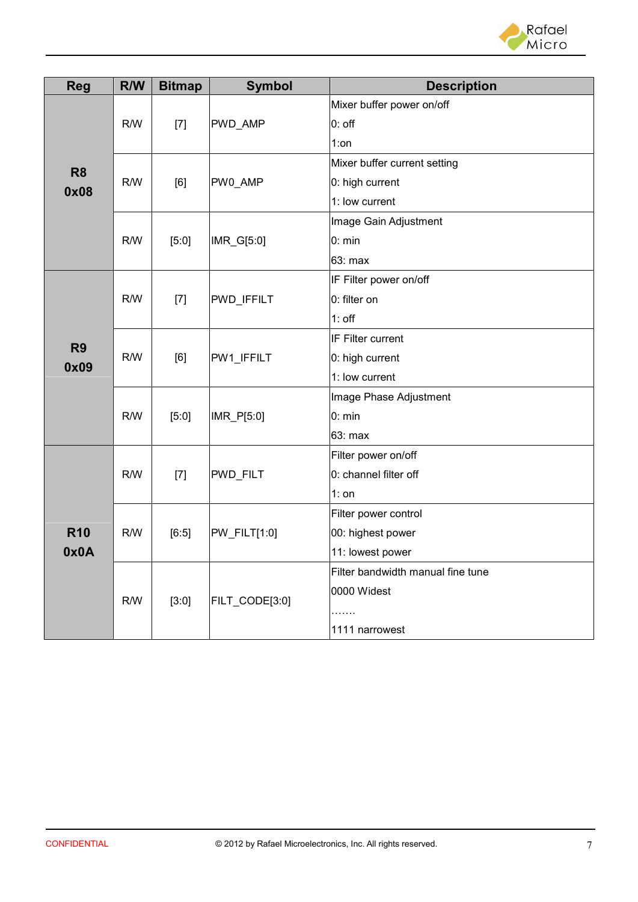

| <b>Reg</b>     | R/W | <b>Bitmap</b> | <b>Symbol</b>  | <b>Description</b>                |
|----------------|-----|---------------|----------------|-----------------------------------|
|                |     | $[7]$         |                | Mixer buffer power on/off         |
|                | R/W |               | PWD_AMP        | $0:$ off                          |
|                |     |               |                | $1:$ on                           |
| R <sub>8</sub> |     |               |                | Mixer buffer current setting      |
| 0x08           | R/W | [6]           | PW0_AMP        | 0: high current                   |
|                |     |               |                | 1: low current                    |
|                |     |               |                | Image Gain Adjustment             |
|                | R/W | [5:0]         | IMR_G[5:0]     | 0: min                            |
|                |     |               |                | 63: max                           |
|                |     |               |                | IF Filter power on/off            |
|                | R/W | $[7]$         | PWD_IFFILT     | 0: filter on                      |
|                |     |               |                | $1:$ off                          |
| R <sub>9</sub> | R/W | [6]           | PW1_IFFILT     | IF Filter current                 |
| 0x09           |     |               |                | 0: high current                   |
|                |     |               |                | 1: low current                    |
|                |     | [5:0]         | IMR_P[5:0]     | Image Phase Adjustment            |
|                | R/W |               |                | 0: min                            |
|                |     |               |                | 63: max                           |
|                | R/W | $[7]$         | PWD_FILT       | Filter power on/off               |
|                |     |               |                | 0: channel filter off             |
|                |     |               |                | $1:$ on                           |
|                |     |               |                | Filter power control              |
| <b>R10</b>     | R/W | [6:5]         | PW_FILT[1:0]   | 00: highest power                 |
| 0x0A           |     |               |                | 11: lowest power                  |
|                |     |               |                | Filter bandwidth manual fine tune |
|                | R/W | [3:0]         | FILT_CODE[3:0] | 0000 Widest                       |
|                |     |               |                |                                   |
|                |     |               |                | 1111 narrowest                    |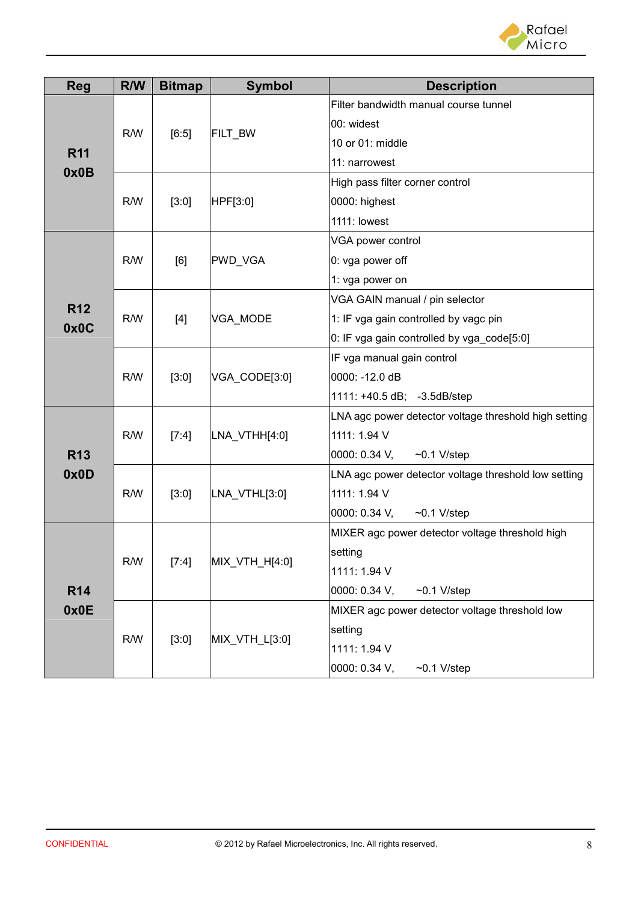

| <b>Reg</b> | R/W | <b>Bitmap</b> | <b>Symbol</b>  | <b>Description</b>                                    |
|------------|-----|---------------|----------------|-------------------------------------------------------|
|            | R/W | [6:5]         | FILT_BW        | Filter bandwidth manual course tunnel                 |
|            |     |               |                | 00: widest                                            |
| <b>R11</b> |     |               |                | 10 or 01: middle                                      |
| 0x0B       |     |               |                | 11: narrowest                                         |
|            |     |               |                | High pass filter corner control                       |
|            | R/W | [3:0]         | HPF[3:0]       | 0000: highest                                         |
|            |     |               |                | 1111: lowest                                          |
|            |     |               |                | VGA power control                                     |
|            | R/W | [6]           | PWD_VGA        | 0: vga power off                                      |
|            |     |               |                | 1: vga power on                                       |
| <b>R12</b> |     | $[4]$         | VGA_MODE       | VGA GAIN manual / pin selector                        |
| 0x0C       | R/W |               |                | 1: IF vga gain controlled by vagc pin                 |
|            |     |               |                | 0: IF vga gain controlled by vga_code[5:0]            |
|            | R/W | [3:0]         | VGA CODE[3:0]  | IF vga manual gain control                            |
|            |     |               |                | 0000: - 12.0 dB                                       |
|            |     |               |                | 1111: +40.5 dB; -3.5dB/step                           |
|            | R/W | [7:4]         |                | LNA agc power detector voltage threshold high setting |
|            |     |               | LNA_VTHH[4:0]  | 1111: 1.94 V                                          |
| <b>R13</b> |     |               |                | 0000: 0.34 V,<br>$\sim$ 0.1 V/step                    |
| 0x0D       | R/W | [3:0]         |                | LNA agc power detector voltage threshold low setting  |
|            |     |               | LNA VTHL[3:0]  | 1111: 1.94 V                                          |
|            |     |               |                | 0000: 0.34 V,<br>$~0.1$ V/step                        |
|            |     |               |                | MIXER agc power detector voltage threshold high       |
|            | R/W | [7:4]         | MIX_VTH_H[4:0] | setting                                               |
| <b>R14</b> |     |               |                | 1111: 1.94 V                                          |
|            |     |               |                | 0000: 0.34 V,<br>$\sim$ 0.1 V/step                    |
| 0x0E       |     |               |                | MIXER agc power detector voltage threshold low        |
|            | R/W | $[3:0]$       | MIX_VTH_L[3:0] | setting                                               |
|            |     |               |                | 1111: 1.94 V                                          |
|            |     |               |                | 0000: 0.34 V,<br>$\sim$ 0.1 V/step                    |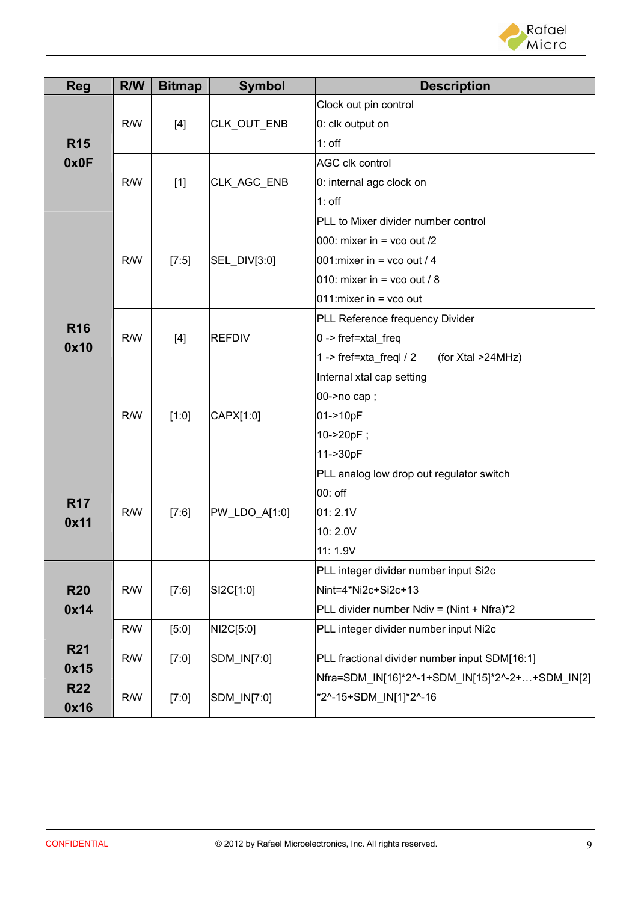

| <b>Reg</b>         | R/W | <b>Bitmap</b> | <b>Symbol</b> | <b>Description</b>                              |  |
|--------------------|-----|---------------|---------------|-------------------------------------------------|--|
|                    | R/W | $[4]$         | CLK_OUT_ENB   | Clock out pin control                           |  |
|                    |     |               |               | 0: clk output on                                |  |
| <b>R15</b>         |     |               |               | $1:$ off                                        |  |
| 0x0F               |     |               |               | <b>AGC clk control</b>                          |  |
|                    | R/W | $[1]$         | CLK_AGC_ENB   | 0: internal agc clock on                        |  |
|                    |     |               |               | $1:$ off                                        |  |
|                    |     |               |               | PLL to Mixer divider number control             |  |
|                    |     |               |               | 000: mixer in = vco out /2                      |  |
|                    | R/W | $[7:5]$       | SEL_DIV[3:0]  | 001: mixer in = vco out / 4                     |  |
|                    |     |               |               | 010: mixer in = vco out / 8                     |  |
|                    |     |               |               | 011: mixer in $=$ vco out                       |  |
| <b>R16</b><br>0x10 | R/W | $[4]$         | <b>REFDIV</b> | PLL Reference frequency Divider                 |  |
|                    |     |               |               | $0 \rightarrow$ fref=xtal_freq                  |  |
|                    |     |               |               | 1 -> fref=xta_freql $/2$<br>(for Xtal >24MHz)   |  |
|                    | R/W | [1:0]         | CAPX[1:0]     | Internal xtal cap setting                       |  |
|                    |     |               |               | 00->no cap;                                     |  |
|                    |     |               |               | 01->10pF                                        |  |
|                    |     |               |               | 10->20pF;                                       |  |
|                    |     |               |               | 11->30pF                                        |  |
|                    | R/W | [7:6]         |               | PLL analog low drop out regulator switch        |  |
| <b>R17</b>         |     |               |               | 00: off                                         |  |
| 0x11               |     |               | PW_LDO_A[1:0] | 01:2.1V                                         |  |
|                    |     |               |               | 10:2.0V                                         |  |
|                    |     |               |               | 11: 1.9V                                        |  |
|                    |     |               |               | PLL integer divider number input Si2c           |  |
| <b>R20</b>         | R/W | [7:6]         | SI2C[1:0]     | Nint=4*Ni2c+Si2c+13                             |  |
| 0x14               |     |               |               | PLL divider number Ndiv = (Nint + Nfra)*2       |  |
|                    | R/W | [5:0]         | NI2C[5:0]     | PLL integer divider number input Ni2c           |  |
| <b>R21</b>         | R/W | [7:0]         | SDM_IN[7:0]   | PLL fractional divider number input SDM[16:1]   |  |
| 0x15               |     |               |               | Nfra=SDM_IN[16]*2^-1+SDM_IN[15]*2^-2++SDM_IN[2] |  |
| <b>R22</b>         | R/W | [7:0]         | SDM_IN[7:0]   | *2^-15+SDM IN[1]*2^-16                          |  |
| 0x16               |     |               |               |                                                 |  |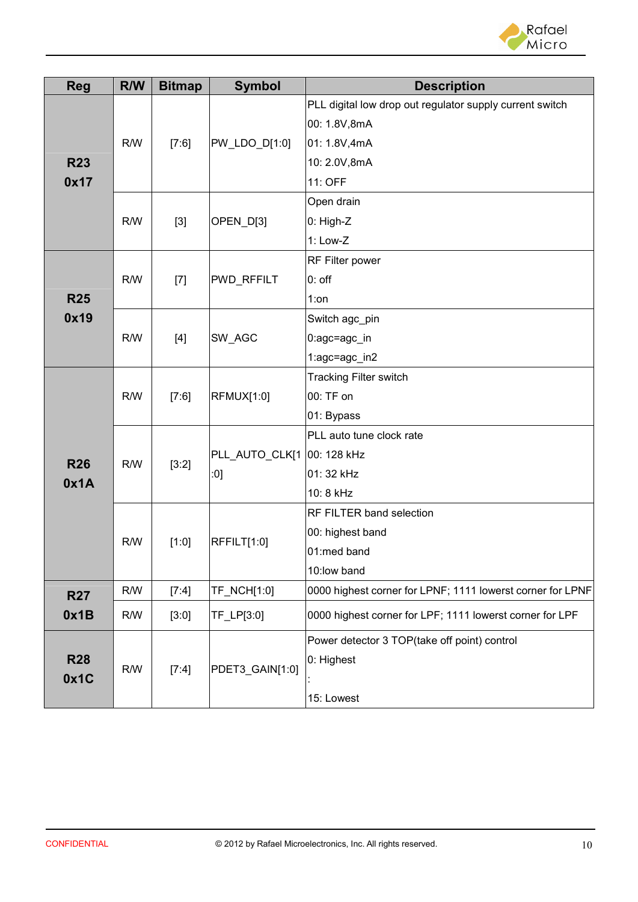

| <b>Reg</b> | R/W | <b>Bitmap</b> | <b>Symbol</b>         | <b>Description</b>                                         |
|------------|-----|---------------|-----------------------|------------------------------------------------------------|
|            |     | [7:6]         | $ PW_LDO_D[1:0]$      | PLL digital low drop out regulator supply current switch   |
|            | R/W |               |                       | 00: 1.8V,8mA                                               |
|            |     |               |                       | 01: 1.8V,4mA                                               |
| <b>R23</b> |     |               |                       | 10: 2.0V,8mA                                               |
| 0x17       |     |               |                       | 11: OFF                                                    |
|            |     |               |                       | Open drain                                                 |
|            | R/W | $[3]$         | OPEN_D[3]             | 0: High-Z                                                  |
|            |     |               |                       | 1: Low-Z                                                   |
|            |     |               |                       | RF Filter power                                            |
|            | R/W | $[7]$         | PWD_RFFILT            | $0:$ off                                                   |
| <b>R25</b> |     |               |                       | $1:$ on                                                    |
| 0x19       | R/W | $[4]$         | SW_AGC                | Switch agc_pin                                             |
|            |     |               |                       | $0:age = age_in$                                           |
|            |     |               |                       | 1:agc=agc_in2                                              |
|            | R/W | [7:6]         | <b>RFMUX[1:0]</b>     | <b>Tracking Filter switch</b>                              |
|            |     |               |                       | 00: TF on                                                  |
|            |     |               |                       | 01: Bypass                                                 |
| <b>R26</b> | R/W | [3:2]         | PLL_AUTO_CLK[1<br>:0] | PLL auto tune clock rate                                   |
|            |     |               |                       | 00: 128 kHz                                                |
|            |     |               |                       | 01: 32 kHz                                                 |
| 0x1A       |     |               |                       | 10: 8 kHz                                                  |
|            |     | [1:0]         | RFFILT[1:0]           | RF FILTER band selection                                   |
|            |     |               |                       | 00: highest band                                           |
|            | R/W |               |                       | 01:med band                                                |
|            |     |               |                       | 10:low band                                                |
| <b>R27</b> | R/W | [7:4]         | TF_NCH[1:0]           | 0000 highest corner for LPNF; 1111 lowerst corner for LPNF |
| 0x1B       | R/W | [3:0]         | TF_LP[3:0]            | 0000 highest corner for LPF; 1111 lowerst corner for LPF   |
|            |     |               |                       | Power detector 3 TOP(take off point) control               |
| <b>R28</b> |     | [7:4]         | PDET3_GAIN[1:0]       | 0: Highest                                                 |
| 0x1C       | R/W |               |                       |                                                            |
|            |     |               |                       | 15: Lowest                                                 |